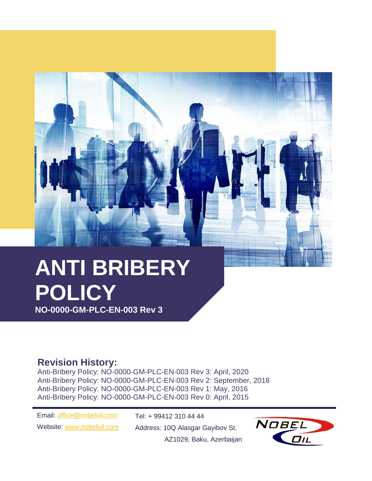# **ANTI BRIBERY POLICY**

**NO-0000-GM-PLC-EN-003 Rev 3**

# **Revision History:**

Anti-Bribery Policy: NO-0000-GM-PLC-EN-003 Rev 3: April, 2020 Anti-Bribery Policy: NO-0000-GM-PLC-EN-003 Rev 2: September, 2018 Anti-Bribery Policy: NO-0000-GM-PLC-EN-003 Rev 1: May, 2016 Anti-Bribery Policy: NO-0000-GM-PLC-EN-003 Rev 0: April, 2015

Email: [office@nobeloil.com](mailto:office@nobeloil.com) Website: [www.nobeloil.com](http://www.nobeloil.com/) Tel: + 99412 310 44 44 Address: 10Q Alasgar Gayibov St.



AZ1029, Baku, Azerbaijan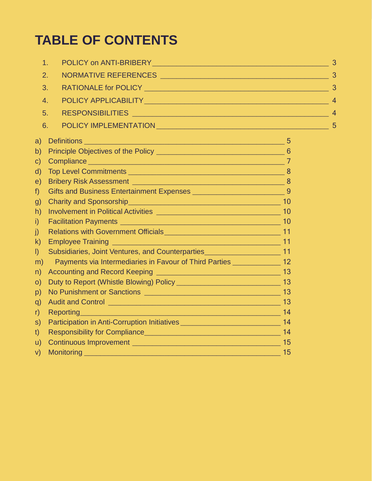# **TABLE OF CONTENTS**

|                        | 1.                                                                                                                                 | $\overline{3}$ |
|------------------------|------------------------------------------------------------------------------------------------------------------------------------|----------------|
| 2.                     | NORMATIVE REFERENCES                                                                                                               | 3              |
|                        | 3.                                                                                                                                 |                |
|                        | 4.                                                                                                                                 |                |
|                        | 5.                                                                                                                                 |                |
| 6.                     |                                                                                                                                    | 5              |
| a)                     |                                                                                                                                    |                |
| b)                     |                                                                                                                                    |                |
| $\mathsf{C}$           |                                                                                                                                    |                |
| $\mathsf{d}$           |                                                                                                                                    |                |
| e)                     |                                                                                                                                    |                |
| $f$ )                  |                                                                                                                                    |                |
| g)                     |                                                                                                                                    |                |
| h)                     |                                                                                                                                    |                |
| $\mathsf{i}$           |                                                                                                                                    |                |
| $\mathbf{j}$           |                                                                                                                                    |                |
| $\mathsf{k}$           |                                                                                                                                    |                |
| $\left  \right\rangle$ | Subsidiaries, Joint Ventures, and Counterparties_______________________________11                                                  |                |
| m)                     | Payments via Intermediaries in Favour of Third Parties ______________ 12                                                           |                |
| n)                     |                                                                                                                                    |                |
| $\circ$ )              |                                                                                                                                    |                |
| p)                     |                                                                                                                                    |                |
| q)                     |                                                                                                                                    |                |
| r)                     | Reporting 14                                                                                                                       |                |
| S)                     | Participation in Anti-Corruption Initiatives ___________________________________ 14                                                |                |
| t)                     |                                                                                                                                    |                |
| u)                     |                                                                                                                                    |                |
| V)                     | Monitoring<br><u> 1989 - Johann John Stein, marwolaeth a bhannaich an t-Amhain an t-Amhain an t-Amhain an t-Amhain an t-Amhain</u> | 15             |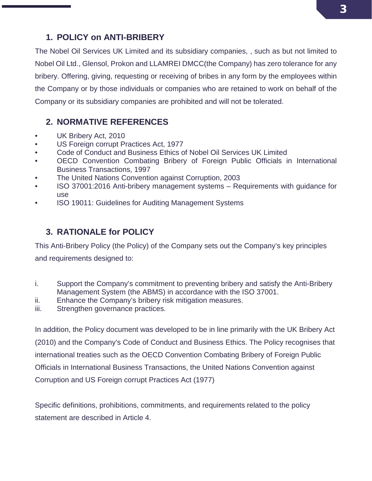# <span id="page-2-0"></span>**1. POLICY on ANTI-BRIBERY**

The Nobel Oil Services UK Limited and its subsidiary companies, , such as but not limited to Nobel Oil Ltd., Glensol, Prokon and LLAMREI DMCC(the Company) has zero tolerance for any bribery. Offering, giving, requesting or receiving of bribes in any form by the employees within the Company or by those individuals or companies who are retained to work on behalf of the Company or its subsidiary companies are prohibited and will not be tolerated.

# <span id="page-2-1"></span>**2. NORMATIVE REFERENCES**

- UK Bribery Act, 2010
- US Foreign corrupt Practices Act, 1977
- Code of Conduct and Business Ethics of Nobel Oil Services UK Limited
- OECD Convention Combating Bribery of Foreign Public Officials in International Business Transactions, 1997
- The United Nations Convention against Corruption, 2003
- ISO 37001:2016 Anti-bribery management systems Requirements with guidance for use
- ISO 19011: Guidelines for Auditing Management Systems

# <span id="page-2-2"></span>**3. RATIONALE for POLICY**

This Anti-Bribery Policy (the Policy) of the Company sets out the Company's key principles

and requirements designed to:

- i. Support the Company's commitment to preventing bribery and satisfy the Anti-Bribery Management System (the ABMS) in accordance with the ISO 37001.
- ii. Enhance the Company's bribery risk mitigation measures.
- iii. Strengthen governance practices.

In addition, the Policy document was developed to be in line primarily with the UK Bribery Act (2010) and the Company's Code of Conduct and Business Ethics. The Policy recognises that international treaties such as the OECD Convention Combating Bribery of Foreign Public Officials in International Business Transactions, the United Nations Convention against Corruption and US Foreign corrupt Practices Act (1977)

Specific definitions, prohibitions, commitments, and requirements related to the policy statement are described in Article 4.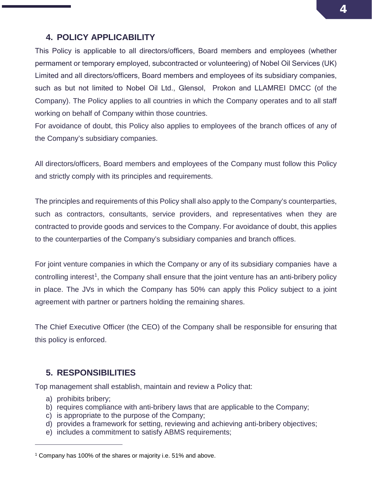## <span id="page-3-0"></span>**4. POLICY APPLICABILITY**

This Policy is applicable to all directors/officers, Board members and employees (whether permament or temporary employed, subcontracted or volunteering) of Nobel Oil Services (UK) Limited and all directors/officers, Board members and employees of its subsidiary companies, such as but not limited to Nobel Oil Ltd., Glensol, Prokon and LLAMREI DMCC (of the Company). The Policy applies to all countries in which the Company operates and to all staff working on behalf of Company within those countries.

For avoidance of doubt, this Policy also applies to employees of the branch offices of any of the Company's subsidiary companies.

All directors/officers, Board members and employees of the Company must follow this Policy and strictly comply with its principles and requirements.

The principles and requirements of this Policy shall also apply to the Company's counterparties, such as contractors, consultants, service providers, and representatives when they are contracted to provide goods and services to the Company. For avoidance of doubt, this applies to the counterparties of the Company's subsidiary companies and branch offices.

For joint venture companies in which the Company or any of its subsidiary companies have a controlling interest<sup>1</sup>, the Company shall ensure that the joint venture has an anti-bribery policy in place. The JVs in which the Company has 50% can apply this Policy subject to a joint agreement with partner or partners holding the remaining shares.

The Chief Executive Officer (the CEO) of the Company shall be responsible for ensuring that this policy is enforced.

#### <span id="page-3-1"></span>**5. RESPONSIBILITIES**

Top management shall establish, maintain and review a Policy that:

a) prohibits bribery;

 $\overline{a}$ 

- b) requires compliance with anti-bribery laws that are applicable to the Company;
- c) is appropriate to the purpose of the Company;
- d) provides a framework for setting, reviewing and achieving anti-bribery objectives;
- e) includes a commitment to satisfy ABMS requirements;

<span id="page-3-2"></span><sup>1</sup> Company has 100% of the shares or majority i.e. 51% and above.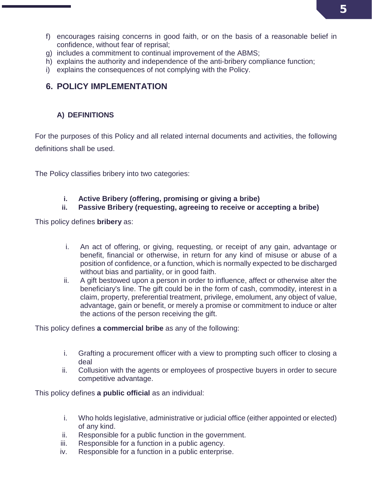- f) encourages raising concerns in good faith, or on the basis of a reasonable belief in confidence, without fear of reprisal;
- g) includes a commitment to continual improvement of the ABMS;
- h) explains the authority and independence of the anti-bribery compliance function;
- i) explains the consequences of not complying with the Policy.

# <span id="page-4-1"></span><span id="page-4-0"></span>**6. POLICY IMPLEMENTATION**

### **A) DEFINITIONS**

For the purposes of this Policy and all related internal documents and activities, the following definitions shall be used.

The Policy classifies bribery into two categories:

#### **i. Active Bribery (offering, promising or giving a bribe)**

#### **ii. Passive Bribery (requesting, agreeing to receive or accepting a bribe)**

This policy defines **bribery** as:

- i. An act of offering, or giving, requesting, or receipt of any gain, advantage or benefit, financial or otherwise, in return for any kind of misuse or abuse of a position of confidence, or a function, which is normally expected to be discharged without bias and partiality, or in good faith.
- ii. A gift bestowed upon a person in order to influence, affect or otherwise alter the beneficiary's line. The gift could be in the form of cash, commodity, interest in a claim, property, preferential treatment, privilege, emolument, any object of value, advantage, gain or benefit, or merely a promise or commitment to induce or alter the actions of the person receiving the gift.

This policy defines **a commercial bribe** as any of the following:

- i. Grafting a procurement officer with a view to prompting such officer to closing a deal
- ii. Collusion with the agents or employees of prospective buyers in order to secure competitive advantage.

This policy defines **a public official** as an individual:

- i. Who holds legislative, administrative or judicial office (either appointed or elected) of any kind.
- ii. Responsible for a public function in the government.
- iii. Responsible for a function in a public agency.
- iv. Responsible for a function in a public enterprise.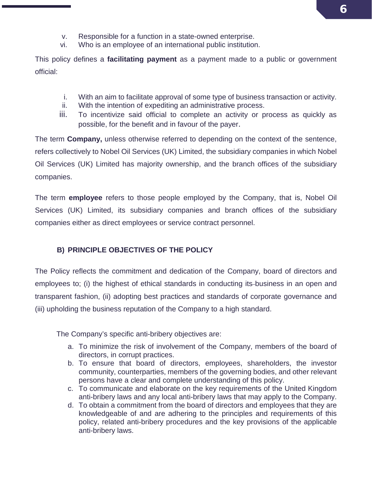- v. Responsible for a function in a state-owned enterprise.
- vi. Who is an employee of an international public institution.

This policy defines a **facilitating payment** as a payment made to a public or government official:

- i. With an aim to facilitate approval of some type of business transaction or [activity.](http://www.businessdictionary.com/definition/activity.html)
- ii. With the intention of expediting an administrative process.
- iii. To incentivize said official to complete an activity or process as quickly as possible, for the benefit and in favour of the payer.

The term **Company,** unless otherwise referred to depending on the context of the sentence, refers collectively to Nobel Oil Services (UK) Limited, the subsidiary companies in which Nobel Oil Services (UK) Limited has majority ownership, and the branch offices of the subsidiary companies.

The term **employee** refers to those people employed by the Company, that is, Nobel Oil Services (UK) Limited, its subsidiary companies and branch offices of the subsidiary companies either as direct employees or service contract personnel.

#### <span id="page-5-0"></span>**B) PRINCIPLE OBJECTIVES OF THE POLICY**

The Policy reflects the commitment and dedication of the Company, board of directors and employees to; (i) the highest of ethical standards in conducting its-business in an open and transparent fashion, (ii) adopting best practices and standards of corporate governance and (iii) upholding the business reputation of the Company to a high standard.

The Company's specific anti-bribery objectives are:

- a. To minimize the risk of involvement of the Company, members of the board of directors, in corrupt practices.
- b. To ensure that board of directors, employees, shareholders, the investor community, counterparties, members of the governing bodies, and other relevant persons have a clear and complete understanding of this policy.
- c. To communicate and elaborate on the key requirements of the United Kingdom anti-bribery laws and any local anti-bribery laws that may apply to the Company.
- d. To obtain a commitment from the board of directors and employees that they are knowledgeable of and are adhering to the principles and requirements of this policy, related anti-bribery procedures and the key provisions of the applicable anti-bribery laws.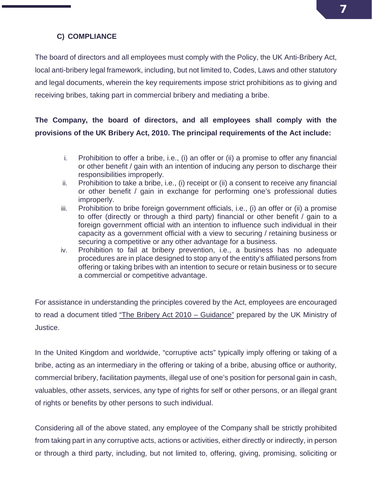# **7**

#### **C) COMPLIANCE**

<span id="page-6-0"></span>The board of directors and all employees must comply with the Policy, the UK Anti-Bribery Act, local anti-bribery legal framework, including, but not limited to, Codes, Laws and other statutory and legal documents, wherein the key requirements impose strict prohibitions as to giving and receiving bribes, taking part in commercial bribery and mediating a bribe.

# **The Company, the board of directors, and all employees shall comply with the provisions of the UK Bribery Act, 2010. The principal requirements of the Act include:**

- i. Prohibition to offer a bribe, i.e., (i) an offer or (ii) a promise to offer any financial or other benefit / gain with an intention of inducing any person to discharge their responsibilities improperly.
- ii. Prohibition to take a bribe, i.e., (i) receipt or (ii) a consent to receive any financial or other benefit / gain in exchange for performing one's professional duties improperly.
- iii. Prohibition to bribe foreign government officials, i.e., (i) an offer or (ii) a promise to offer (directly or through a third party) financial or other benefit / gain to a foreign government official with an intention to influence such individual in their capacity as a government official with a view to securing / retaining business or securing a competitive or any other advantage for a business.
- iv. Prohibition to fail at bribery prevention, i.e., a business has no adequate procedures are in place designed to stop any of the entity's affiliated persons from offering or taking bribes with an intention to secure or retain business or to secure a commercial or competitive advantage.

For assistance in understanding the principles covered by the Act, employees are encouraged to read a document titled "The Bribery Act 2010 – Guidance" prepared by the UK Ministry of Justice.

In the United Kingdom and worldwide, "corruptive acts" typically imply offering or taking of a bribe, acting as an intermediary in the offering or taking of a bribe, abusing office or authority, commercial bribery, facilitation payments, illegal use of one's position for personal gain in cash, valuables, other assets, services, any type of rights for self or other persons, or an illegal grant of rights or benefits by other persons to such individual.

Considering all of the above stated, any employee of the Company shall be strictly prohibited from taking part in any corruptive acts, actions or activities, either directly or indirectly, in person or through a third party, including, but not limited to, offering, giving, promising, soliciting or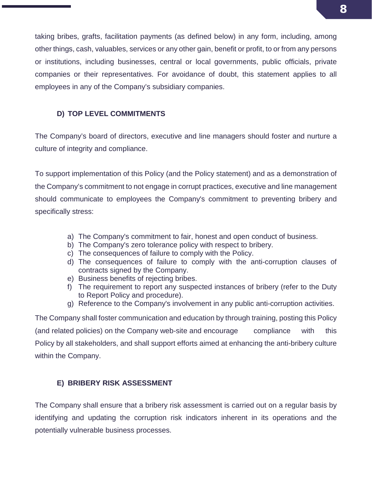taking bribes, grafts, facilitation payments (as defined below) in any form, including, among other things, cash, valuables, services or any other gain, benefit or profit, to or from any persons or institutions, including businesses, central or local governments, public officials, private companies or their representatives. For avoidance of doubt, this statement applies to all employees in any of the Company's subsidiary companies.

#### <span id="page-7-0"></span>**D) TOP LEVEL COMMITMENTS**

The Company's board of directors, executive and line managers should foster and nurture a culture of integrity and compliance.

To support implementation of this Policy (and the Policy statement) and as a demonstration of the Company's commitment to not engage in corrupt practices, executive and line management should communicate to employees the Company's commitment to preventing bribery and specifically stress:

- a) The Company's commitment to fair, honest and open conduct of business.
- b) The Company's zero tolerance policy with respect to bribery.
- c) The consequences of failure to comply with the Policy.
- d) The consequences of failure to comply with the anti-corruption clauses of contracts signed by the Company.
- e) Business benefits of rejecting bribes.
- f) The requirement to report any suspected instances of bribery (refer to the Duty to Report Policy and procedure).
- g) Reference to the Company's involvement in any public anti-corruption activities.

The Company shall foster communication and education by through training, posting this Policy (and related policies) on the Company web-site and encourage compliance with this Policy by all stakeholders, and shall support efforts aimed at enhancing the anti-bribery culture within the Company.

#### <span id="page-7-1"></span>**E) BRIBERY RISK ASSESSMENT**

The Company shall ensure that a bribery risk assessment is carried out on a regular basis by identifying and updating the corruption risk indicators inherent in its operations and the potentially vulnerable business processes.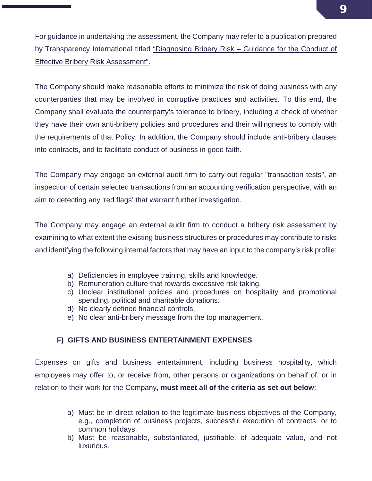For guidance in undertaking the assessment, the Company may refer to a publication prepared by Transparency International titled "Diagnosing Bribery Risk - Guidance for the Conduct of Effective Bribery Risk Assessment".

The Company should make reasonable efforts to minimize the risk of doing business with any counterparties that may be involved in corruptive practices and activities. To this end, the Company shall evaluate the counterparty's tolerance to bribery, including a check of whether they have their own anti-bribery policies and procedures and their willingness to comply with the requirements of that Policy. In addition, the Company should include anti-bribery clauses into contracts, and to facilitate conduct of business in good faith.

The Company may engage an external audit firm to carry out regular "transaction tests", an inspection of certain selected transactions from an accounting verification perspective, with an aim to detecting any 'red flags' that warrant further investigation.

The Company may engage an external audit firm to conduct a bribery risk assessment by examining to what extent the existing business structures or procedures may contribute to risks and identifying the following internal factors that may have an input to the company's risk profile:

- a) Deficiencies in employee training, skills and knowledge.
- b) Remuneration culture that rewards excessive risk taking.
- c) Unclear institutional policies and procedures on hospitality and promotional spending, political and charitable donations.
- d) No clearly defined financial controls.
- e) No clear anti-bribery message from the top management.

#### <span id="page-8-0"></span>**F) GIFTS AND BUSINESS ENTERTAINMENT EXPENSES**

Expenses on gifts and business entertainment, including business hospitality, which employees may offer to, or receive from, other persons or organizations on behalf of, or in relation to their work for the Company, **must meet all of the criteria as set out below**:

- a) Must be in direct relation to the legitimate business objectives of the Company, e.g., completion of business projects, successful execution of contracts, or to common holidays.
- b) Must be reasonable, substantiated, justifiable, of adequate value, and not luxurious.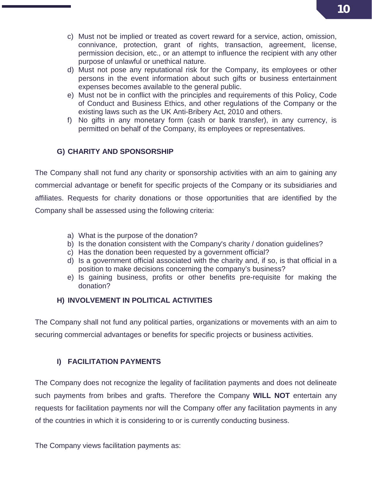- c) Must not be implied or treated as covert reward for a service, action, omission, connivance, protection, grant of rights, transaction, agreement, license, permission decision, etc., or an attempt to influence the recipient with any other purpose of unlawful or unethical nature.
- d) Must not pose any reputational risk for the Company, its employees or other persons in the event information about such gifts or business entertainment expenses becomes available to the general public.
- e) Must not be in conflict with the principles and requirements of this Policy, Code of Conduct and Business Ethics, and other regulations of the Company or the existing laws such as the UK Anti-Bribery Act, 2010 and others.
- f) No gifts in any monetary form (cash or bank transfer), in any currency, is permitted on behalf of the Company, its employees or representatives.

#### <span id="page-9-0"></span>**G) CHARITY AND SPONSORSHIP**

The Company shall not fund any charity or sponsorship activities with an aim to gaining any commercial advantage or benefit for specific projects of the Company or its subsidiaries and affiliates. Requests for charity donations or those opportunities that are identified by the Company shall be assessed using the following criteria:

- a) What is the purpose of the donation?
- b) Is the donation consistent with the Company's charity / donation guidelines?
- c) Has the donation been requested by a government official?
- d) Is a government official associated with the charity and, if so, is that official in a position to make decisions concerning the company's business?
- e) Is gaining business, profits or other benefits pre-requisite for making the donation?

#### **H) INVOLVEMENT IN POLITICAL ACTIVITIES**

<span id="page-9-1"></span>The Company shall not fund any political parties, organizations or movements with an aim to securing commercial advantages or benefits for specific projects or business activities.

#### <span id="page-9-2"></span>**I) FACILITATION PAYMENTS**

The Company does not recognize the legality of facilitation payments and does not delineate such payments from bribes and grafts. Therefore the Company **WILL NOT** entertain any requests for facilitation payments nor will the Company offer any facilitation payments in any of the countries in which it is considering to or is currently conducting business.

The Company views facilitation payments as: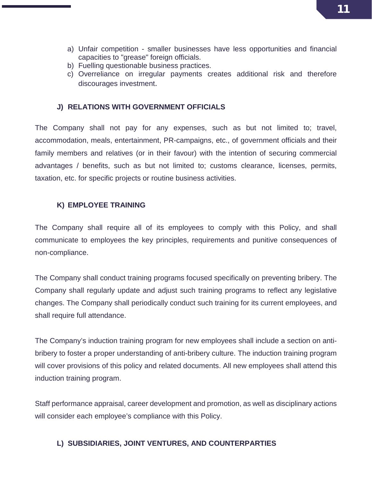- a) Unfair competition smaller businesses have less opportunities and financial capacities to "grease" foreign officials.
- b) Fuelling questionable business practices.
- c) Overreliance on irregular payments creates additional risk and therefore discourages investment.

#### <span id="page-10-0"></span>**J) RELATIONS WITH GOVERNMENT OFFICIALS**

The Company shall not pay for any expenses, such as but not limited to; travel, accommodation, meals, entertainment, PR-campaigns, etc., of government officials and their family members and relatives (or in their favour) with the intention of securing commercial advantages / benefits, such as but not limited to; customs clearance, licenses, permits, taxation, etc. for specific projects or routine business activities.

#### <span id="page-10-1"></span>**K) EMPLOYEE TRAINING**

The Company shall require all of its employees to comply with this Policy, and shall communicate to employees the key principles, requirements and punitive consequences of non-compliance.

The Company shall conduct training programs focused specifically on preventing bribery. The Company shall regularly update and adjust such training programs to reflect any legislative changes. The Company shall periodically conduct such training for its current employees, and shall require full attendance.

The Company's induction training program for new employees shall include a section on antibribery to foster a proper understanding of anti-bribery culture. The induction training program will cover provisions of this policy and related documents. All new employees shall attend this induction training program.

Staff performance appraisal, career development and promotion, as well as disciplinary actions will consider each employee's compliance with this Policy.

#### <span id="page-10-2"></span>**L) SUBSIDIARIES, JOINT VENTURES, AND COUNTERPARTIES**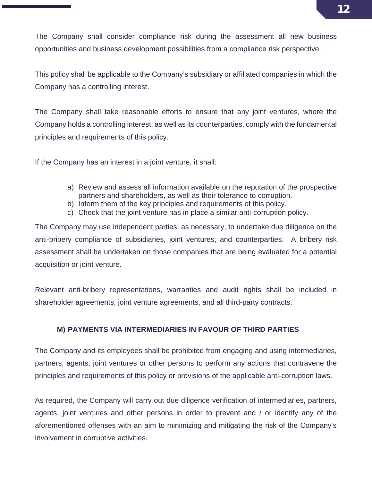The Company shall consider compliance risk during the assessment all new business opportunities and business development possibilities from a compliance risk perspective.

This policy shall be applicable to the Company's subsidiary or affiliated companies in which the Company has a controlling interest.

The Company shall take reasonable efforts to ensure that any joint ventures, where the Company holds a controlling interest, as well as its counterparties, comply with the fundamental principles and requirements of this policy.

If the Company has an interest in a joint venture, it shall:

- a) Review and assess all information available on the reputation of the prospective partners and shareholders, as well as their tolerance to corruption.
- b) Inform them of the key principles and requirements of this policy.
- c) Check that the joint venture has in place a similar anti-corruption policy.

The Company may use independent parties, as necessary, to undertake due diligence on the anti-bribery compliance of subsidiaries, joint ventures, and counterparties. A bribery risk assessment shall be undertaken on those companies that are being evaluated for a potential acquisition or joint venture.

<span id="page-11-0"></span>Relevant anti-bribery representations, warranties and audit rights shall be included in shareholder agreements, joint venture agreements, and all third-party contracts.

#### **M) PAYMENTS VIA INTERMEDIARIES IN FAVOUR OF THIRD PARTIES**

The Company and its employees shall be prohibited from engaging and using intermediaries, partners, agents, joint ventures or other persons to perform any actions that contravene the principles and requirements of this policy or provisions of the applicable anti-corruption laws.

As required, the Company will carry out due diligence verification of intermediaries, partners, agents, joint ventures and other persons in order to prevent and / or identify any of the aforementioned offenses with an aim to minimizing and mitigating the risk of the Company's involvement in corruptive activities.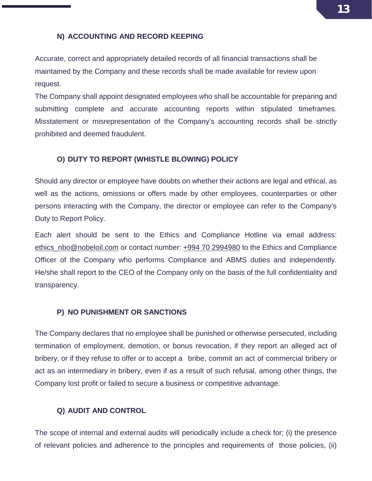#### **N) ACCOUNTING AND RECORD KEEPING**

<span id="page-12-0"></span>Accurate, correct and appropriately detailed records of all financial transactions shall be maintained by the Company and these records shall be made available for review upon request.

The Company shall appoint designated employees who shall be accountable for preparing and submitting complete and accurate accounting reports within stipulated timeframes. Misstatement or misrepresentation of the Company's accounting records shall be strictly prohibited and deemed fraudulent.

#### <span id="page-12-1"></span>**O) DUTY TO REPORT (WHISTLE BLOWING) POLICY**

Should any director or employee have doubts on whether their actions are legal and ethical, as well as the actions, omissions or offers made by other employees, counterparties or other persons interacting with the Company, the director or employee can refer to the Company's Duty to Report Policy.

Each alert should be sent to the Ethics and Compliance Hotline via email address: [ethics\\_nbo@nobeloil.com](mailto:ethics_nbo@nobeloil.com) or contact number: +994 70 2994980 to the Ethics and Compliance Officer of the Company who performs Compliance and ABMS duties and independently. He/she shall report to the CEO of the Company only on the basis of the full confidentiality and transparency.

#### <span id="page-12-2"></span>**P) NO PUNISHMENT OR SANCTIONS**

The Company declares that no employee shall be punished or otherwise persecuted, including termination of employment, demotion, or bonus revocation, if they report an alleged act of bribery, or if they refuse to offer or to accept a bribe, commit an act of commercial bribery or act as an intermediary in bribery, even if as a result of such refusal, among other things, the Company lost profit or failed to secure a business or competitive advantage.

#### <span id="page-12-3"></span>**Q) AUDIT AND CONTROL**

The scope of internal and external audits will periodically include a check for; (i) the presence of relevant policies and adherence to the principles and requirements of those policies, (ii)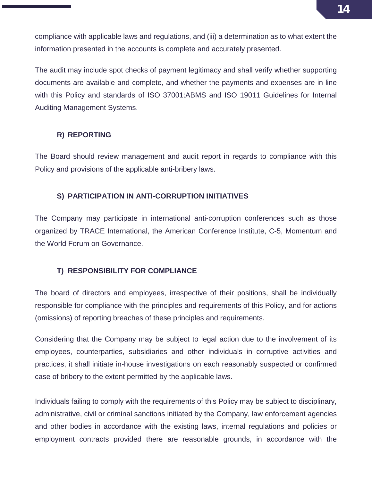compliance with applicable laws and regulations, and (iii) a determination as to what extent the information presented in the accounts is complete and accurately presented.

The audit may include spot checks of payment legitimacy and shall verify whether supporting documents are available and complete, and whether the payments and expenses are in line with this Policy and standards of ISO 37001:ABMS and ISO 19011 Guidelines for Internal Auditing Management Systems.

#### <span id="page-13-0"></span>**R) REPORTING**

The Board should review management and audit report in regards to compliance with this Policy and provisions of the applicable anti-bribery laws.

#### <span id="page-13-1"></span>**S) PARTICIPATION IN ANTI-CORRUPTION INITIATIVES**

The Company may participate in international anti-corruption conferences such as those organized by TRACE International, the American Conference Institute, C-5, Momentum and the World Forum on Governance.

#### <span id="page-13-2"></span>**T) RESPONSIBILITY FOR COMPLIANCE**

The board of directors and employees, irrespective of their positions, shall be individually responsible for compliance with the principles and requirements of this Policy, and for actions (omissions) of reporting breaches of these principles and requirements.

Considering that the Company may be subject to legal action due to the involvement of its employees, counterparties, subsidiaries and other individuals in corruptive activities and practices, it shall initiate in-house investigations on each reasonably suspected or confirmed case of bribery to the extent permitted by the applicable laws.

Individuals failing to comply with the requirements of this Policy may be subject to disciplinary, administrative, civil or criminal sanctions initiated by the Company, law enforcement agencies and other bodies in accordance with the existing laws, internal regulations and policies or employment contracts provided there are reasonable grounds, in accordance with the